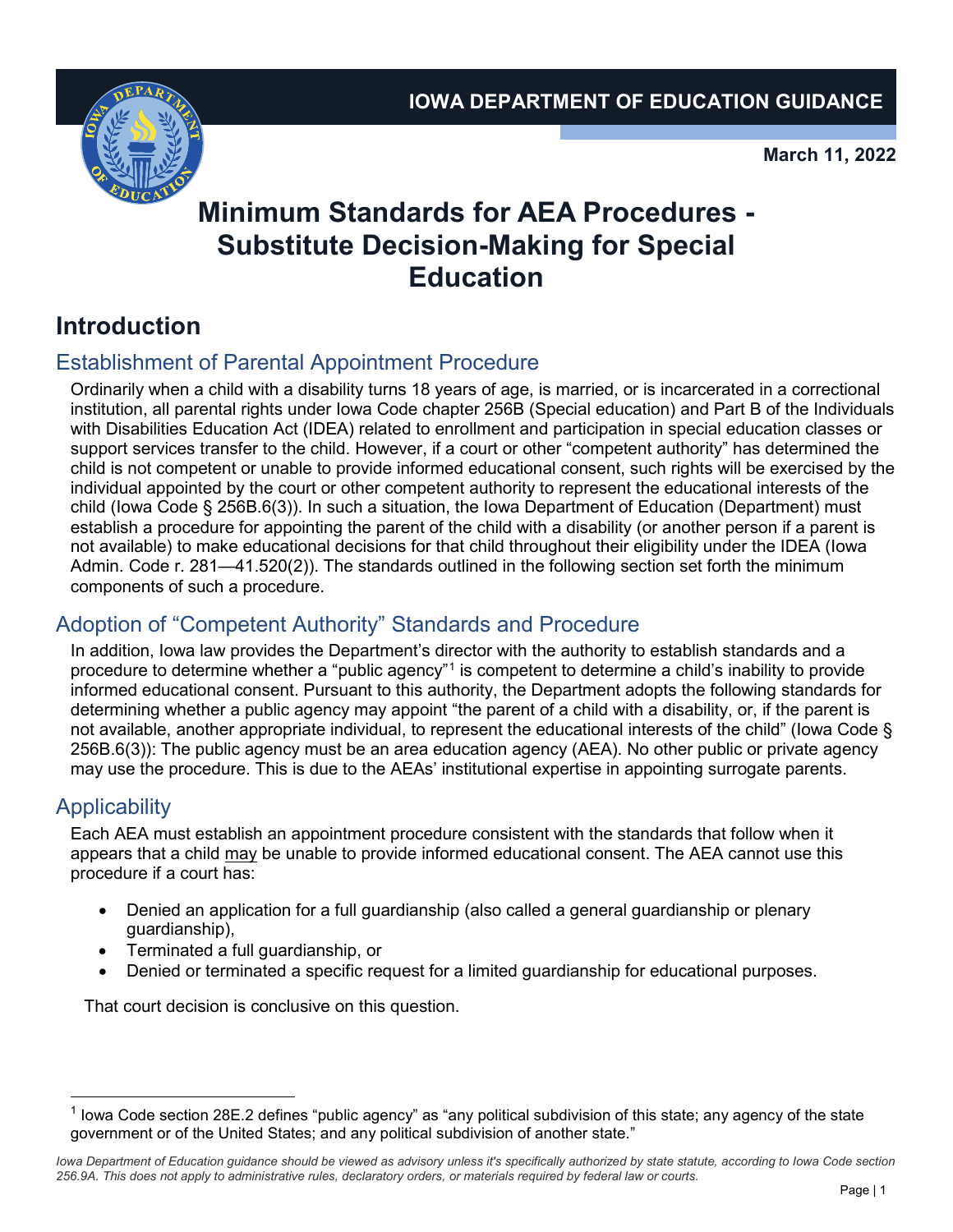

**March 11, 2022**

# **Minimum Standards for AEA Procedures - Substitute Decision-Making for Special Education**

## **Introduction**

### Establishment of Parental Appointment Procedure

Ordinarily when a child with a disability turns 18 years of age, is married, or is incarcerated in a correctional institution, all parental rights under Iowa Code chapter 256B (Special education) and Part B of the Individuals with Disabilities Education Act (IDEA) related to enrollment and participation in special education classes or support services transfer to the child. However, if a court or other "competent authority" has determined the child is not competent or unable to provide informed educational consent, such rights will be exercised by the individual appointed by the court or other competent authority to represent the educational interests of the child (Iowa Code § 256B.6(3)). In such a situation, the Iowa Department of Education (Department) must establish a procedure for appointing the parent of the child with a disability (or another person if a parent is not available) to make educational decisions for that child throughout their eligibility under the IDEA (Iowa Admin. Code r. 281—41.520(2)). The standards outlined in the following section set forth the minimum components of such a procedure.

### Adoption of "Competent Authority" Standards and Procedure

In addition, Iowa law provides the Department's director with the authority to establish standards and a procedure to determine whether a "public agency"[1](#page-0-0) is competent to determine a child's inability to provide informed educational consent. Pursuant to this authority, the Department adopts the following standards for determining whether a public agency may appoint "the parent of a child with a disability, or, if the parent is not available, another appropriate individual, to represent the educational interests of the child" (Iowa Code § 256B.6(3)): The public agency must be an area education agency (AEA). No other public or private agency may use the procedure. This is due to the AEAs' institutional expertise in appointing surrogate parents.

#### **Applicability**

Each AEA must establish an appointment procedure consistent with the standards that follow when it appears that a child may be unable to provide informed educational consent. The AEA cannot use this procedure if a court has:

- Denied an application for a full guardianship (also called a general guardianship or plenary guardianship),
- Terminated a full guardianship, or
- Denied or terminated a specific request for a limited guardianship for educational purposes.

That court decision is conclusive on this question.

<span id="page-0-0"></span><sup>-</sup><sup>1</sup> Iowa Code section 28E.2 defines "public agency" as "any political subdivision of this state; any agency of the state government or of the United States; and any political subdivision of another state."

Iowa Department of Education guidance should be viewed as advisory unless it's specifically authorized by state statute, according to Iowa Code section *256.9A. This does not apply to administrative rules, declaratory orders, or materials required by federal law or courts.*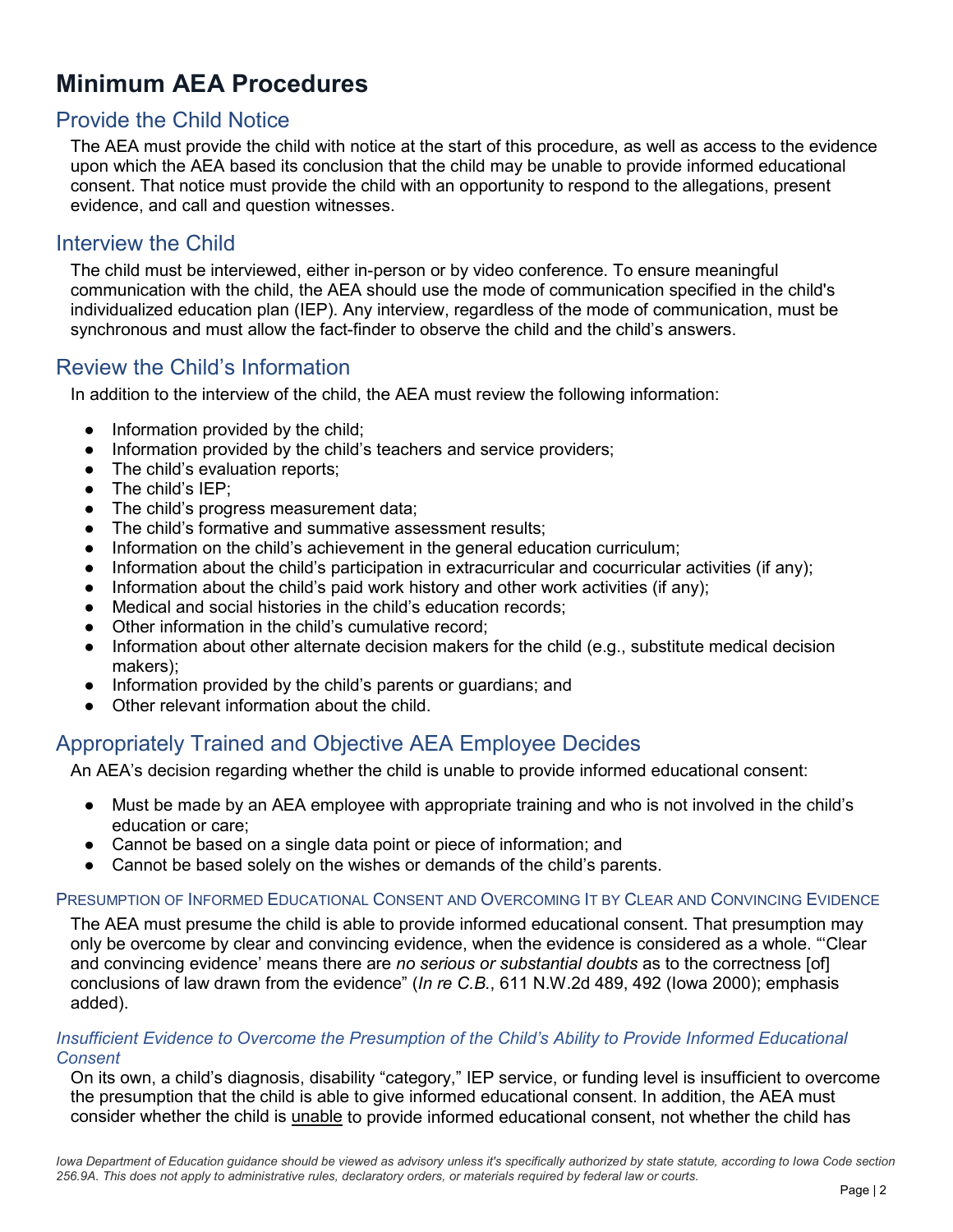## **Minimum AEA Procedures**

#### Provide the Child Notice

The AEA must provide the child with notice at the start of this procedure, as well as access to the evidence upon which the AEA based its conclusion that the child may be unable to provide informed educational consent. That notice must provide the child with an opportunity to respond to the allegations, present evidence, and call and question witnesses.

#### Interview the Child

The child must be interviewed, either in-person or by video conference. To ensure meaningful communication with the child, the AEA should use the mode of communication specified in the child's individualized education plan (IEP). Any interview, regardless of the mode of communication, must be synchronous and must allow the fact-finder to observe the child and the child's answers.

#### Review the Child's Information

In addition to the interview of the child, the AEA must review the following information:

- Information provided by the child;
- Information provided by the child's teachers and service providers;
- The child's evaluation reports;
- The child's IEP:
- The child's progress measurement data:
- The child's formative and summative assessment results;
- Information on the child's achievement in the general education curriculum;
- Information about the child's participation in extracurricular and cocurricular activities (if any);
- Information about the child's paid work history and other work activities (if any);
- Medical and social histories in the child's education records;
- Other information in the child's cumulative record:
- Information about other alternate decision makers for the child (e.g., substitute medical decision makers);
- Information provided by the child's parents or guardians; and
- Other relevant information about the child.

#### Appropriately Trained and Objective AEA Employee Decides

An AEA's decision regarding whether the child is unable to provide informed educational consent:

- Must be made by an AEA employee with appropriate training and who is not involved in the child's education or care;
- Cannot be based on a single data point or piece of information; and
- Cannot be based solely on the wishes or demands of the child's parents.

#### PRESUMPTION OF INFORMED EDUCATIONAL CONSENT AND OVERCOMING IT BY CLEAR AND CONVINCING EVIDENCE

The AEA must presume the child is able to provide informed educational consent. That presumption may only be overcome by clear and convincing evidence, when the evidence is considered as a whole. "'Clear and convincing evidence' means there are *no serious or substantial doubts* as to the correctness [of] conclusions of law drawn from the evidence" (*In re C.B.*, 611 N.W.2d 489, 492 (Iowa 2000); emphasis added).

#### *Insufficient Evidence to Overcome the Presumption of the Child's Ability to Provide Informed Educational Consent*

On its own, a child's diagnosis, disability "category," IEP service, or funding level is insufficient to overcome the presumption that the child is able to give informed educational consent. In addition, the AEA must consider whether the child is unable to provide informed educational consent, not whether the child has